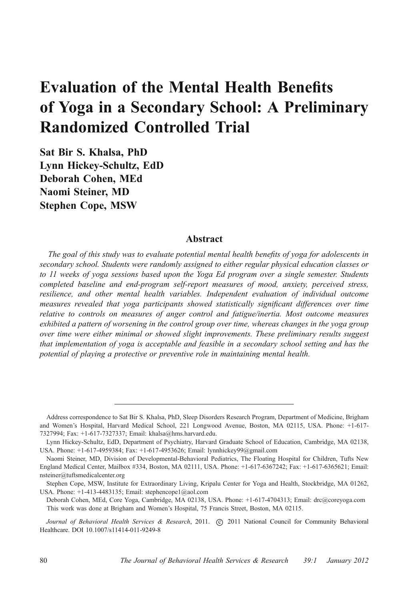# Evaluation of the Mental Health Benefits of Yoga in a Secondary School: A Preliminary Randomized Controlled Trial

Sat Bir S. Khalsa, PhD Lynn Hickey-Schultz, EdD Deborah Cohen, MEd Naomi Steiner, MD Stephen Cope, MSW

# Abstract

The goal of this study was to evaluate potential mental health benefits of yoga for adolescents in secondary school. Students were randomly assigned to either regular physical education classes or to 11 weeks of yoga sessions based upon the Yoga Ed program over a single semester. Students completed baseline and end-program self-report measures of mood, anxiety, perceived stress, resilience, and other mental health variables. Independent evaluation of individual outcome measures revealed that yoga participants showed statistically significant differences over time relative to controls on measures of anger control and fatigue/inertia. Most outcome measures exhibited a pattern of worsening in the control group over time, whereas changes in the yoga group over time were either minimal or showed slight improvements. These preliminary results suggest that implementation of yoga is acceptable and feasible in a secondary school setting and has the potential of playing a protective or preventive role in maintaining mental health.

Address correspondence to Sat Bir S. Khalsa, PhD, Sleep Disorders Research Program, Department of Medicine, Brigham and Women's Hospital, Harvard Medical School, 221 Longwood Avenue, Boston, MA 02115, USA. Phone: +1-617- 7327994; Fax: +1-617-7327337; Email: khalsa@hms.harvard.edu.

Lynn Hickey-Schultz, EdD, Department of Psychiatry, Harvard Graduate School of Education, Cambridge, MA 02138, USA. Phone: +1-617-4959384; Fax: +1-617-4953626; Email: lynnhickey99@gmail.com

Naomi Steiner, MD, Division of Developmental-Behavioral Pediatrics, The Floating Hospital for Children, Tufts New England Medical Center, Mailbox #334, Boston, MA 02111, USA. Phone: +1-617-6367242; Fax: +1-617-6365621; Email: nsteiner@tuftsmedicalcenter.org

Stephen Cope, MSW, Institute for Extraordinary Living, Kripalu Center for Yoga and Health, Stockbridge, MA 01262, USA. Phone: +1-413-4483135; Email: stephencope1@aol.com

Deborah Cohen, MEd, Core Yoga, Cambridge, MA 02138, USA. Phone: +1-617-4704313; Email: drc@coreyoga.com This work was done at Brigham and Women's Hospital, 75 Francis Street, Boston, MA 02115.

Journal of Behavioral Health Services & Research, 2011. (c) 2011 National Council for Community Behavioral Healthcare. DOI 10.1007/s11414-011-9249-8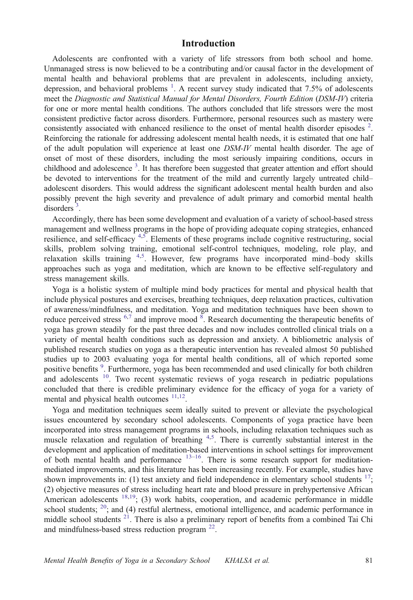# Introduction

Adolescents are confronted with a variety of life stressors from both school and home. Unmanaged stress is now believed to be a contributing and/or causal factor in the development of mental health and behavioral problems that are prevalent in adolescents, including anxiety, depression, and behavioral problems<sup>[1](#page-9-0)</sup>. A recent survey study indicated that 7.5% of adolescents meet the Diagnostic and Statistical Manual for Mental Disorders, Fourth Edition (DSM-IV) criteria for one or more mental health conditions. The authors concluded that life stressors were the most consistent predictive factor across disorders. Furthermore, personal resources such as mastery were consistently associated with enhanced resilience to the onset of mental health disorder episodes <sup>[2](#page-9-0)</sup>. Reinforcing the rationale for addressing adolescent mental health needs, it is estimated that one half of the adult population will experience at least one DSM-IV mental health disorder. The age of onset of most of these disorders, including the most seriously impairing conditions, occurs in childhood and adolescence<sup>[3](#page-9-0)</sup>. It has therefore been suggested that greater attention and effort should be devoted to interventions for the treatment of the mild and currently largely untreated child– adolescent disorders. This would address the significant adolescent mental health burden and also possibly prevent the high severity and prevalence of adult primary and comorbid mental health  $\frac{1}{3}$  $\frac{1}{3}$  $\frac{1}{3}$ .

Accordingly, there has been some development and evaluation of a variety of school-based stress management and wellness programs in the hope of providing adequate coping strategies, enhanced resilience, and self-efficacy  $4.5$ . Elements of these programs include cognitive restructuring, social skills, problem solving training, emotional self-control techniques, modeling, role play, and relaxation skills training <sup>[4,5](#page-9-0)</sup>. However, few programs have incorporated mind-body skills approaches such as yoga and meditation, which are known to be effective self-regulatory and stress management skills.

Yoga is a holistic system of multiple mind body practices for mental and physical health that include physical postures and exercises, breathing techniques, deep relaxation practices, cultivation of awareness/mindfulness, and meditation. Yoga and meditation techniques have been shown to reduce perceived stress  $6.7$  and improve mood  $\overline{8}$  $\overline{8}$  $\overline{8}$ . Research documenting the therapeutic benefits of yoga has grown steadily for the past three decades and now includes controlled clinical trials on a variety of mental health conditions such as depression and anxiety. A bibliometric analysis of published research studies on yoga as a therapeutic intervention has revealed almost 50 published studies up to 2003 evaluating yoga for mental health conditions, all of which reported some positive benefits<sup>[9](#page-9-0)</sup>. Furthermore, yoga has been recommended and used clinically for both children and adolescents  $10$ . Two recent systematic reviews of yoga research in pediatric populations concluded that there is credible preliminary evidence for the efficacy of yoga for a variety of mental and physical health outcomes  $11,12$ .

Yoga and meditation techniques seem ideally suited to prevent or alleviate the psychological issues encountered by secondary school adolescents. Components of yoga practice have been incorporated into stress management programs in schools, including relaxation techniques such as muscle relaxation and regulation of breathing <sup>[4,5](#page-9-0)</sup>. There is currently substantial interest in the development and application of meditation-based interventions in school settings for improvement of both mental health and performance  $13-16$  $13-16$  $13-16$ . There is some research support for meditationmediated improvements, and this literature has been increasing recently. For example, studies have shown improvements in: (1) test anxiety and field independence in elementary school students  $17$ ; (2) objective measures of stress including heart rate and blood pressure in prehypertensive African American adolescents  $18,19$ ; (3) work habits, cooperation, and academic performance in middle school students;  $^{20}$ ; and (4) restful alertness, emotional intelligence, and academic performance in middle school students  $2^{1}$ . There is also a preliminary report of benefits from a combined Tai Chi and mindfulness-based stress reduction program [22.](#page-10-0)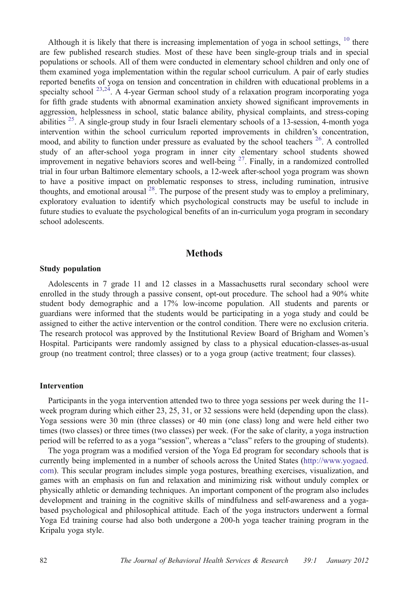Although it is likely that there is increasing implementation of yoga in school settings, <sup>[10](#page-9-0)</sup> there are few published research studies. Most of these have been single-group trials and in special populations or schools. All of them were conducted in elementary school children and only one of them examined yoga implementation within the regular school curriculum. A pair of early studies reported benefits of yoga on tension and concentration in children with educational problems in a specialty school  $^{23,24}$  $^{23,24}$  $^{23,24}$ . A 4-year German school study of a relaxation program incorporating yoga for fifth grade students with abnormal examination anxiety showed significant improvements in aggression, helplessness in school, static balance ability, physical complaints, and stress-coping abilities  $^{25}$  $^{25}$  $^{25}$ . A single-group study in four Israeli elementary schools of a 13-session, 4-month yoga intervention within the school curriculum reported improvements in children's concentration, mood, and ability to function under pressure as evaluated by the school teachers  $^{26}$ . A controlled study of an after-school yoga program in inner city elementary school students showed improvement in negative behaviors scores and well-being  $2^7$ . Finally, in a randomized controlled trial in four urban Baltimore elementary schools, a 12-week after-school yoga program was shown to have a positive impact on problematic responses to stress, including rumination, intrusive thoughts, and emotional arousal  $^{28}$ . The purpose of the present study was to employ a preliminary, exploratory evaluation to identify which psychological constructs may be useful to include in future studies to evaluate the psychological benefits of an in-curriculum yoga program in secondary school adolescents.

### **Methods**

#### Study population

Adolescents in 7 grade 11 and 12 classes in a Massachusetts rural secondary school were enrolled in the study through a passive consent, opt-out procedure. The school had a 90% white student body demographic and a 17% low-income population. All students and parents or guardians were informed that the students would be participating in a yoga study and could be assigned to either the active intervention or the control condition. There were no exclusion criteria. The research protocol was approved by the Institutional Review Board of Brigham and Women's Hospital. Participants were randomly assigned by class to a physical education-classes-as-usual group (no treatment control; three classes) or to a yoga group (active treatment; four classes).

#### Intervention

Participants in the yoga intervention attended two to three yoga sessions per week during the 11 week program during which either 23, 25, 31, or 32 sessions were held (depending upon the class). Yoga sessions were 30 min (three classes) or 40 min (one class) long and were held either two times (two classes) or three times (two classes) per week. (For the sake of clarity, a yoga instruction period will be referred to as a yoga "session", whereas a "class" refers to the grouping of students).

The yoga program was a modified version of the Yoga Ed program for secondary schools that is currently being implemented in a number of schools across the United States [\(http://www.yogaed.](http://www.yogaed.com) [com\)](http://www.yogaed.com). This secular program includes simple yoga postures, breathing exercises, visualization, and games with an emphasis on fun and relaxation and minimizing risk without unduly complex or physically athletic or demanding techniques. An important component of the program also includes development and training in the cognitive skills of mindfulness and self-awareness and a yogabased psychological and philosophical attitude. Each of the yoga instructors underwent a formal Yoga Ed training course had also both undergone a 200-h yoga teacher training program in the Kripalu yoga style.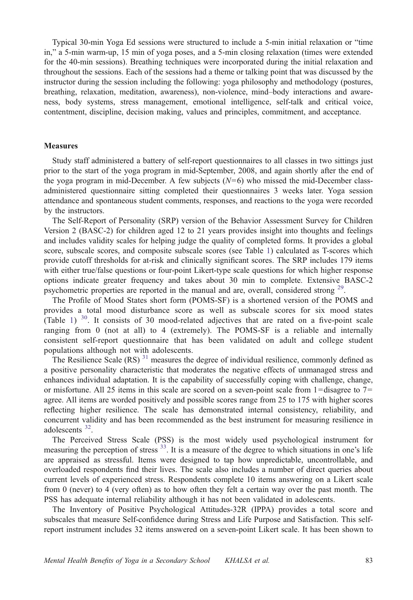Typical 30-min Yoga Ed sessions were structured to include a 5-min initial relaxation or "time in," a 5-min warm-up, 15 min of yoga poses, and a 5-min closing relaxation (times were extended for the 40-min sessions). Breathing techniques were incorporated during the initial relaxation and throughout the sessions. Each of the sessions had a theme or talking point that was discussed by the instructor during the session including the following: yoga philosophy and methodology (postures, breathing, relaxation, meditation, awareness), non-violence, mind–body interactions and awareness, body systems, stress management, emotional intelligence, self-talk and critical voice, contentment, discipline, decision making, values and principles, commitment, and acceptance.

#### **Measures**

Study staff administered a battery of self-report questionnaires to all classes in two sittings just prior to the start of the yoga program in mid-September, 2008, and again shortly after the end of the yoga program in mid-December. A few subjects  $(N=6)$  who missed the mid-December classadministered questionnaire sitting completed their questionnaires 3 weeks later. Yoga session attendance and spontaneous student comments, responses, and reactions to the yoga were recorded by the instructors.

The Self-Report of Personality (SRP) version of the Behavior Assessment Survey for Children Version 2 (BASC-2) for children aged 12 to 21 years provides insight into thoughts and feelings and includes validity scales for helping judge the quality of completed forms. It provides a global score, subscale scores, and composite subscale scores (see Table [1](#page-5-0)) calculated as T-scores which provide cutoff thresholds for at-risk and clinically significant scores. The SRP includes 179 items with either true/false questions or four-point Likert-type scale questions for which higher response options indicate greater frequency and takes about 30 min to complete. Extensive BASC-2 psychometric properties are reported in the manual and are, overall, considered strong  $29$ .

The Profile of Mood States short form (POMS-SF) is a shortened version of the POMS and provides a total mood disturbance score as well as subscale scores for six mood states (Table [1\)](#page-5-0)  $30$ . It consists of 30 mood-related adjectives that are rated on a five-point scale ranging from 0 (not at all) to 4 (extremely). The POMS-SF is a reliable and internally consistent self-report questionnaire that has been validated on adult and college student populations although not with adolescents.

The Resilience Scale  $(RS)^{31}$  $(RS)^{31}$  $(RS)^{31}$  measures the degree of individual resilience, commonly defined as a positive personality characteristic that moderates the negative effects of unmanaged stress and enhances individual adaptation. It is the capability of successfully coping with challenge, change, or misfortune. All 25 items in this scale are scored on a seven-point scale from  $1 =$ disagree to  $7 =$ agree. All items are worded positively and possible scores range from 25 to 175 with higher scores reflecting higher resilience. The scale has demonstrated internal consistency, reliability, and concurrent validity and has been recommended as the best instrument for measuring resilience in adolescents [32](#page-10-0).

The Perceived Stress Scale (PSS) is the most widely used psychological instrument for measuring the perception of stress  $33$ . It is a measure of the degree to which situations in one's life are appraised as stressful. Items were designed to tap how unpredictable, uncontrollable, and overloaded respondents find their lives. The scale also includes a number of direct queries about current levels of experienced stress. Respondents complete 10 items answering on a Likert scale from 0 (never) to 4 (very often) as to how often they felt a certain way over the past month. The PSS has adequate internal reliability although it has not been validated in adolescents.

The Inventory of Positive Psychological Attitudes-32R (IPPA) provides a total score and subscales that measure Self-confidence during Stress and Life Purpose and Satisfaction. This selfreport instrument includes 32 items answered on a seven-point Likert scale. It has been shown to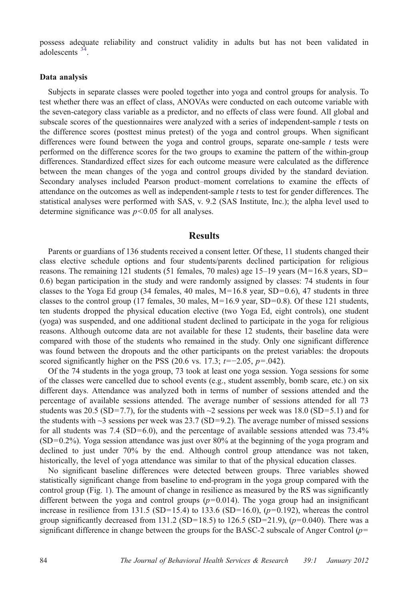possess adequate reliability and construct validity in adults but has not been validated in adolescents [34.](#page-10-0)

#### Data analysis

Subjects in separate classes were pooled together into yoga and control groups for analysis. To test whether there was an effect of class, ANOVAs were conducted on each outcome variable with the seven-category class variable as a predictor, and no effects of class were found. All global and subscale scores of the questionnaires were analyzed with a series of independent-sample  $t$  tests on the difference scores (posttest minus pretest) of the yoga and control groups. When significant differences were found between the yoga and control groups, separate one-sample t tests were performed on the difference scores for the two groups to examine the pattern of the within-group differences. Standardized effect sizes for each outcome measure were calculated as the difference between the mean changes of the yoga and control groups divided by the standard deviation. Secondary analyses included Pearson product–moment correlations to examine the effects of attendance on the outcomes as well as independent-sample  $t$  tests to test for gender differences. The statistical analyses were performed with SAS, v. 9.2 (SAS Institute, Inc.); the alpha level used to determine significance was  $p<0.05$  for all analyses.

## Results

Parents or guardians of 136 students received a consent letter. Of these, 11 students changed their class elective schedule options and four students/parents declined participation for religious reasons. The remaining 121 students (51 females, 70 males) age 15–19 years ( $M=16.8$  years, SD= 0.6) began participation in the study and were randomly assigned by classes: 74 students in four classes to the Yoga Ed group (34 females, 40 males,  $M=16.8$  year, SD=0.6), 47 students in three classes to the control group (17 females, 30 males,  $M=16.9$  year, SD=0.8). Of these 121 students, ten students dropped the physical education elective (two Yoga Ed, eight controls), one student (yoga) was suspended, and one additional student declined to participate in the yoga for religious reasons. Although outcome data are not available for these 12 students, their baseline data were compared with those of the students who remained in the study. Only one significant difference was found between the dropouts and the other participants on the pretest variables: the dropouts scored significantly higher on the PSS (20.6 vs. 17.3;  $t=-2.05$ ,  $p=.042$ ).

Of the 74 students in the yoga group, 73 took at least one yoga session. Yoga sessions for some of the classes were cancelled due to school events (e.g., student assembly, bomb scare, etc.) on six different days. Attendance was analyzed both in terms of number of sessions attended and the percentage of available sessions attended. The average number of sessions attended for all 73 students was 20.5 (SD=7.7), for the students with  $\sim$ 2 sessions per week was 18.0 (SD=5.1) and for the students with  $\sim$ 3 sessions per week was 23.7 (SD=9.2). The average number of missed sessions for all students was 7.4 (SD=6.0), and the percentage of available sessions attended was  $73.4\%$ (SD=0.2%). Yoga session attendance was just over 80% at the beginning of the yoga program and declined to just under 70% by the end. Although control group attendance was not taken, historically, the level of yoga attendance was similar to that of the physical education classes.

No significant baseline differences were detected between groups. Three variables showed statistically significant change from baseline to end-program in the yoga group compared with the control group (Fig. [1\)](#page-6-0). The amount of change in resilience as measured by the RS was significantly different between the yoga and control groups  $(p=0.014)$ . The yoga group had an insignificant increase in resilience from 131.5 (SD=15.4) to 133.6 (SD=16.0),  $(p=0.192)$ , whereas the control group significantly decreased from 131.2 (SD=18.5) to 126.5 (SD=21.9),  $(p=0.040)$ . There was a significant difference in change between the groups for the BASC-2 subscale of Anger Control  $(p=$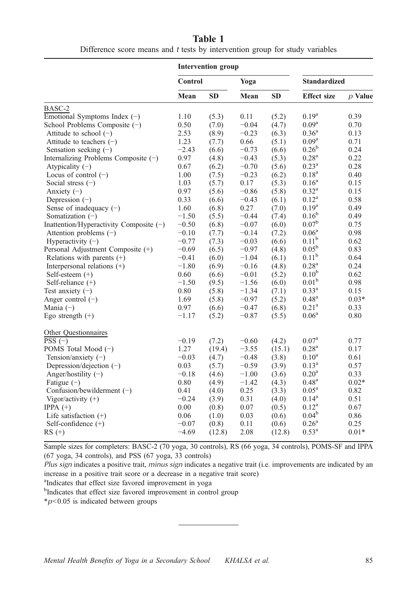| Table 1 |                                                                              |  |  |  |  |  |  |  |
|---------|------------------------------------------------------------------------------|--|--|--|--|--|--|--|
|         | Difference score means and t tests by intervention group for study variables |  |  |  |  |  |  |  |

<span id="page-5-0"></span>

|                                         | <b>Intervention group</b> |           |         |           |                     |           |
|-----------------------------------------|---------------------------|-----------|---------|-----------|---------------------|-----------|
|                                         | <b>Control</b>            |           | Yoga    |           | <b>Standardized</b> |           |
|                                         | Mean                      | <b>SD</b> | Mean    | <b>SD</b> | <b>Effect size</b>  | $p$ Value |
| BASC-2                                  |                           |           |         |           |                     |           |
| Emotional Symptoms Index $(-)$          | 1.10                      | (5.3)     | 0.11    | (5.2)     | $0.19^{a}$          | 0.39      |
| School Problems Composite $(-)$         | 0.50                      | (7.0)     | $-0.04$ | (4.7)     | $0.09^{\rm a}$      | 0.70      |
| Attitude to school $(-)$                | 2.53                      | (8.9)     | $-0.23$ | (6.3)     | $0.36^{\rm a}$      | 0.13      |
| Attitude to teachers $(-)$              | 1.23                      | (7.7)     | 0.66    | (5.1)     | 0.09 <sup>a</sup>   | 0.71      |
| Sensation seeking $(-)$                 | $-2.43$                   | (6.6)     | $-0.73$ | (6.6)     | $0.26^{b}$          | 0.24      |
| Internalizing Problems Composite $(-)$  | 0.97                      | (4.8)     | $-0.43$ | (5.3)     | 0.28 <sup>a</sup>   | 0.22      |
| Atypicality $(-)$                       | 0.67                      | (6.2)     | $-0.70$ | (5.6)     | $0.23^{\rm a}$      | 0.28      |
| Locus of control $(-)$                  | 1.00                      | (7.5)     | $-0.23$ | (6.2)     | $0.18^{a}$          | 0.40      |
| Social stress $(-)$                     | 1.03                      | (5.7)     | 0.17    | (5.3)     | $0.16^{\rm a}$      | 0.15      |
| Anxiety $(-)$                           | 0.97                      | (5.6)     | $-0.86$ | (5.8)     | $0.32^{\rm a}$      | 0.15      |
| Depression $(-)$                        | 0.33                      | (6.6)     | $-0.43$ | (6.1)     | $0.12^{\rm a}$      | 0.58      |
| Sense of inadequacy $(-)$               | 1.60                      | (6.8)     | 0.27    | (7.0)     | $0.19^{a}$          | 0.49      |
| Somatization $(-)$                      | $-1.50$                   | (5.5)     | $-0.44$ | (7.4)     | $0.16^{b}$          | 0.49      |
| Inattention/Hyperactivity Composite (-) | $-0.50$                   | (6.8)     | $-0.07$ | (6.0)     | $0.07^{\rm b}$      | 0.75      |
| Attention problems $(-)$                | $-0.10$                   | (7.7)     | $-0.14$ | (7.2)     | $0.06^{\rm a}$      | 0.98      |
| Hyperactivity $(-)$                     | $-0.77$                   | (7.3)     | $-0.03$ | (6.6)     | $0.11^{b}$          | 0.62      |
| Personal Adjustment Composite (+)       | $-0.69$                   | (6.5)     | $-0.97$ | (4.8)     | $0.05^{\rm b}$      | 0.83      |
| Relations with parents $(+)$            | $-0.41$                   | (6.0)     | $-1.04$ | (6.1)     | $0.11^{\rm b}$      | 0.64      |
| Interpersonal relations (+)             | $-1.80$                   | (6.9)     | $-0.16$ | (4.8)     | $0.28^{a}$          | 0.24      |
| Self-esteem $(+)$                       | 0.60                      | (6.6)     | $-0.01$ | (5.2)     | 0.10 <sup>b</sup>   | 0.62      |
| Self-reliance $(+)$                     | $-1.50$                   | (9.5)     | $-1.56$ | (6.0)     | 0.01 <sup>b</sup>   | 0.98      |
| Test anxiety $(-)$                      | $0.80\,$                  | (5.8)     | $-1.34$ | (7.1)     | $0.33^{a}$          | 0.15      |
| Anger control $(-)$                     | 1.69                      | (5.8)     | $-0.97$ | (5.2)     | $0.48^{\rm a}$      | $0.03*$   |
| Mania $(-)$                             | 0.97                      | (6.6)     | $-0.47$ | (6.8)     | $0.21^{\rm a}$      | 0.33      |
| Ego strength $(+)$                      | $-1.17$                   | (5.2)     | $-0.87$ | (5.5)     | $0.06^{\rm a}$      | 0.80      |
| Other Questionnaires                    |                           |           |         |           |                     |           |
| $PSS(-)$                                | $-0.19$                   | (7.2)     | $-0.60$ | (4.2)     | $0.07^{\rm a}$      | 0.77      |
| POMS Total Mood (-)                     | 1.27                      | (19.4)    | $-3.55$ | (15.1)    | $0.28^{a}$          | 0.17      |
| Tension/anxiety $(-)$                   | $-0.03$                   | (4.7)     | $-0.48$ | (3.8)     | $0.10^{\rm a}$      | 0.61      |
| Depression/dejection (-)                | 0.03                      | (5.7)     | $-0.59$ | (3.9)     | $0.13^{\rm a}$      | 0.57      |
| Anger/hostility $(-)$                   | $-0.18$                   | (4.6)     | $-1.00$ | (3.6)     | 0.20 <sup>a</sup>   | 0.33      |
| Fatigue $(-)$                           | 0.80                      | (4.9)     | $-1.42$ | (4.3)     | $0.48^{\rm a}$      | $0.02*$   |
| Confusion/bewilderment $(-)$            | 0.41                      | (4.0)     | 0.25    | (3.3)     | 0.05 <sup>a</sup>   | 0.82      |
| Vigor/activity $(+)$                    | $-0.24$                   | (3.9)     | 0.31    | (4.0)     | $0.14^{\rm a}$      | 0.51      |
| IPPA $(+)$                              | 0.00                      | (0.8)     | 0.07    | (0.5)     | $0.12^{\rm a}$      | 0.67      |
| Life satisfaction $(+)$                 | 0.06                      | (1.0)     | 0.03    | (0.6)     | $0.04^b$            | 0.86      |
| Self-confidence $(+)$                   | $-0.07$                   | (0.8)     | 0.11    | (0.6)     | 0.26 <sup>a</sup>   | 0.25      |
| $RS (+)$                                | $-4.69$                   | (12.8)    | 2.08    | (12.8)    | $0.53^{\rm a}$      | $0.01*$   |

Sample sizes for completers: BASC-2 (70 yoga, 30 controls), RS (66 yoga, 34 controls), POMS-SF and IPPA (67 yoga, 34 controls), and PSS (67 yoga, 33 controls)

Plus sign indicates a positive trait, minus sign indicates a negative trait (i.e. improvements are indicated by an increase in a positive trait score or a decrease in a negative trait score)

<sup>a</sup>Indicates that effect size favored improvement in yoga

<sup>b</sup>Indicates that effect size favored improvement in control group

 $*p<0.05$  is indicated between groups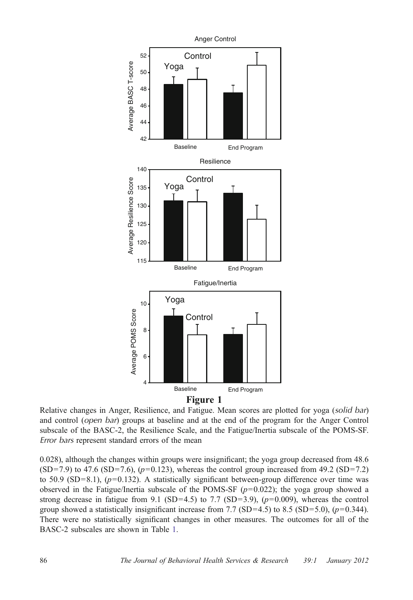<span id="page-6-0"></span>

Relative changes in Anger, Resilience, and Fatigue. Mean scores are plotted for yoga (solid bar) and control (open bar) groups at baseline and at the end of the program for the Anger Control subscale of the BASC-2, the Resilience Scale, and the Fatigue/Inertia subscale of the POMS-SF. Error bars represent standard errors of the mean

0.028), although the changes within groups were insignificant; the yoga group decreased from 48.6  $(SD=7.9)$  to 47.6  $(SD=7.6)$ ,  $(p=0.123)$ , whereas the control group increased from 49.2  $(SD=7.2)$ to 50.9 (SD=8.1),  $(p=0.132)$ . A statistically significant between-group difference over time was observed in the Fatigue/Inertia subscale of the POMS-SF  $(p=0.022)$ ; the yoga group showed a strong decrease in fatigue from 9.1 (SD=4.5) to 7.7 (SD=3.9),  $(p=0.009)$ , whereas the control group showed a statistically insignificant increase from 7.7 (SD=4.5) to 8.5 (SD=5.0),  $(p=0.344)$ . There were no statistically significant changes in other measures. The outcomes for all of the BASC-2 subscales are shown in Table [1](#page-5-0).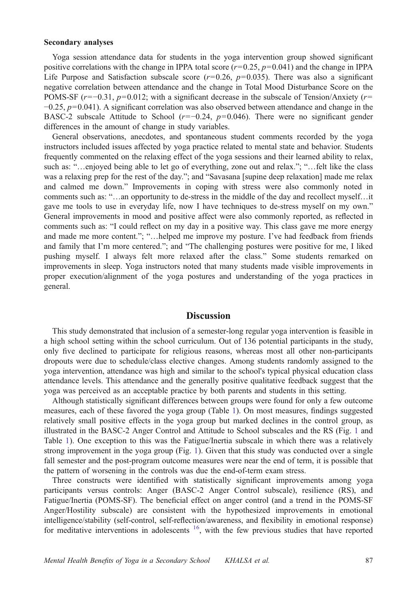#### Secondary analyses

Yoga session attendance data for students in the yoga intervention group showed significant positive correlations with the change in IPPA total score ( $r=0.25$ ,  $p=0.041$ ) and the change in IPPA Life Purpose and Satisfaction subscale score  $(r=0.26, p=0.035)$ . There was also a significant negative correlation between attendance and the change in Total Mood Disturbance Score on the POMS-SF  $(r=-0.31, p=0.012$ ; with a significant decrease in the subscale of Tension/Anxiety  $(r=$  $-0.25$ ,  $p=0.041$ ). A significant correlation was also observed between attendance and change in the BASC-2 subscale Attitude to School ( $r=-0.24$ ,  $p=0.046$ ). There were no significant gender differences in the amount of change in study variables.

General observations, anecdotes, and spontaneous student comments recorded by the yoga instructors included issues affected by yoga practice related to mental state and behavior. Students frequently commented on the relaxing effect of the yoga sessions and their learned ability to relax, such as: "…enjoyed being able to let go of everything, zone out and relax."; "…felt like the class was a relaxing prep for the rest of the day."; and "Savasana [supine deep relaxation] made me relax and calmed me down." Improvements in coping with stress were also commonly noted in comments such as: "…an opportunity to de-stress in the middle of the day and recollect myself…it gave me tools to use in everyday life, now I have techniques to de-stress myself on my own." General improvements in mood and positive affect were also commonly reported, as reflected in comments such as: "I could reflect on my day in a positive way. This class gave me more energy and made me more content."; "…helped me improve my posture. I've had feedback from friends and family that I'm more centered."; and "The challenging postures were positive for me, I liked pushing myself. I always felt more relaxed after the class." Some students remarked on improvements in sleep. Yoga instructors noted that many students made visible improvements in proper execution/alignment of the yoga postures and understanding of the yoga practices in general.

# **Discussion**

This study demonstrated that inclusion of a semester-long regular yoga intervention is feasible in a high school setting within the school curriculum. Out of 136 potential participants in the study, only five declined to participate for religious reasons, whereas most all other non-participants dropouts were due to schedule/class elective changes. Among students randomly assigned to the yoga intervention, attendance was high and similar to the school's typical physical education class attendance levels. This attendance and the generally positive qualitative feedback suggest that the yoga was perceived as an acceptable practice by both parents and students in this setting.

Although statistically significant differences between groups were found for only a few outcome measures, each of these favored the yoga group (Table [1](#page-5-0)). On most measures, findings suggested relatively small positive effects in the yoga group but marked declines in the control group, as illustrated in the BASC-2 Anger Control and Attitude to School subscales and the RS (Fig. [1](#page-6-0) and Table [1](#page-5-0)). One exception to this was the Fatigue/Inertia subscale in which there was a relatively strong improvement in the yoga group (Fig. [1\)](#page-6-0). Given that this study was conducted over a single fall semester and the post-program outcome measures were near the end of term, it is possible that the pattern of worsening in the controls was due the end-of-term exam stress.

Three constructs were identified with statistically significant improvements among yoga participants versus controls: Anger (BASC-2 Anger Control subscale), resilience (RS), and Fatigue/Inertia (POMS-SF). The beneficial effect on anger control (and a trend in the POMS-SF Anger/Hostility subscale) are consistent with the hypothesized improvements in emotional intelligence/stability (self-control, self-reflection/awareness, and flexibility in emotional response) for meditative interventions in adolescents  $16$ , with the few previous studies that have reported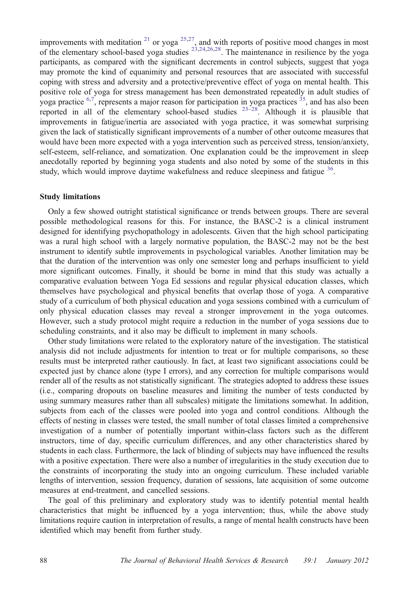improvements with meditation  $21$  or yoga  $25,27$ , and with reports of positive mood changes in most of the elementary school-based yoga studies  $^{23,24,26,28}$  $^{23,24,26,28}$  $^{23,24,26,28}$  $^{23,24,26,28}$  $^{23,24,26,28}$ . The maintenance in resilience by the yoga participants, as compared with the significant decrements in control subjects, suggest that yoga may promote the kind of equanimity and personal resources that are associated with successful coping with stress and adversity and a protective/preventive effect of yoga on mental health. This positive role of yoga for stress management has been demonstrated repeatedly in adult studies of yoga practice  $6.7$ , represents a major reason for participation in yoga practices  $35$ , and has also been reported in all of the elementary school-based studies  $23-28$  $23-28$  $23-28$ . Although it is plausible that improvements in fatigue/inertia are associated with yoga practice, it was somewhat surprising given the lack of statistically significant improvements of a number of other outcome measures that would have been more expected with a yoga intervention such as perceived stress, tension/anxiety, self-esteem, self-reliance, and somatization. One explanation could be the improvement in sleep anecdotally reported by beginning yoga students and also noted by some of the students in this study, which would improve daytime wakefulness and reduce sleepiness and fatigue  $36$ .

#### Study limitations

Only a few showed outright statistical significance or trends between groups. There are several possible methodological reasons for this. For instance, the BASC-2 is a clinical instrument designed for identifying psychopathology in adolescents. Given that the high school participating was a rural high school with a largely normative population, the BASC-2 may not be the best instrument to identify subtle improvements in psychological variables. Another limitation may be that the duration of the intervention was only one semester long and perhaps insufficient to yield more significant outcomes. Finally, it should be borne in mind that this study was actually a comparative evaluation between Yoga Ed sessions and regular physical education classes, which themselves have psychological and physical benefits that overlap those of yoga. A comparative study of a curriculum of both physical education and yoga sessions combined with a curriculum of only physical education classes may reveal a stronger improvement in the yoga outcomes. However, such a study protocol might require a reduction in the number of yoga sessions due to scheduling constraints, and it also may be difficult to implement in many schools.

Other study limitations were related to the exploratory nature of the investigation. The statistical analysis did not include adjustments for intention to treat or for multiple comparisons, so these results must be interpreted rather cautiously. In fact, at least two significant associations could be expected just by chance alone (type I errors), and any correction for multiple comparisons would render all of the results as not statistically significant. The strategies adopted to address these issues (i.e., comparing dropouts on baseline measures and limiting the number of tests conducted by using summary measures rather than all subscales) mitigate the limitations somewhat. In addition, subjects from each of the classes were pooled into yoga and control conditions. Although the effects of nesting in classes were tested, the small number of total classes limited a comprehensive investigation of a number of potentially important within-class factors such as the different instructors, time of day, specific curriculum differences, and any other characteristics shared by students in each class. Furthermore, the lack of blinding of subjects may have influenced the results with a positive expectation. There were also a number of irregularities in the study execution due to the constraints of incorporating the study into an ongoing curriculum. These included variable lengths of intervention, session frequency, duration of sessions, late acquisition of some outcome measures at end-treatment, and cancelled sessions.

The goal of this preliminary and exploratory study was to identify potential mental health characteristics that might be influenced by a yoga intervention; thus, while the above study limitations require caution in interpretation of results, a range of mental health constructs have been identified which may benefit from further study.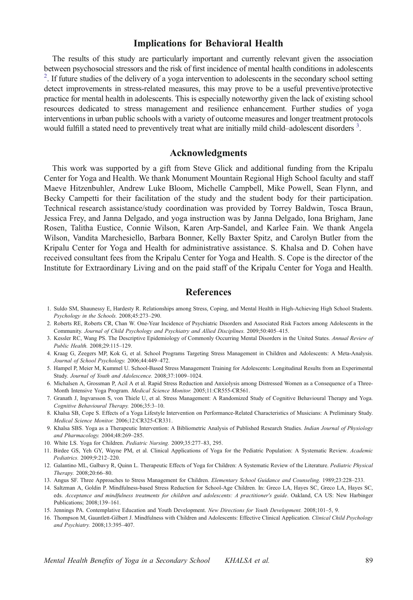## Implications for Behavioral Health

<span id="page-9-0"></span>The results of this study are particularly important and currently relevant given the association between psychosocial stressors and the risk of first incidence of mental health conditions in adolescents <sup>2</sup>  $2$ . If future studies of the delivery of a yoga intervention to adolescents in the secondary school setting detect improvements in stress-related measures, this may prove to be a useful preventive/protective practice for mental health in adolescents. This is especially noteworthy given the lack of existing school resources dedicated to stress management and resilience enhancement. Further studies of yoga interventions in urban public schools with a variety of outcome measures and longer treatment protocols would fulfill a stated need to preventively treat what are initially mild child–adolescent disorders<sup>3</sup>.

## Acknowledgments

This work was supported by a gift from Steve Glick and additional funding from the Kripalu Center for Yoga and Health. We thank Monument Mountain Regional High School faculty and staff Maeve Hitzenbuhler, Andrew Luke Bloom, Michelle Campbell, Mike Powell, Sean Flynn, and Becky Campetti for their facilitation of the study and the student body for their participation. Technical research assistance/study coordination was provided by Torrey Baldwin, Tosca Braun, Jessica Frey, and Janna Delgado, and yoga instruction was by Janna Delgado, Iona Brigham, Jane Rosen, Talitha Eustice, Connie Wilson, Karen Arp-Sandel, and Karlee Fain. We thank Angela Wilson, Vandita Marchesiello, Barbara Bonner, Kelly Baxter Spitz, and Carolyn Butler from the Kripalu Center for Yoga and Health for administrative assistance. S. Khalsa and D. Cohen have received consultant fees from the Kripalu Center for Yoga and Health. S. Cope is the director of the Institute for Extraordinary Living and on the paid staff of the Kripalu Center for Yoga and Health.

# References

- 1. Suldo SM, Shaunessy E, Hardesty R. Relationships among Stress, Coping, and Mental Health in High-Achieving High School Students. Psychology in the Schools. 2008;45:273–290.
- 2. Roberts RE, Roberts CR, Chan W. One-Year Incidence of Psychiatric Disorders and Associated Risk Factors among Adolescents in the Community. Journal of Child Psychology and Psychiatry and Allied Disciplines. 2009;50:405–415.
- 3. Kessler RC, Wang PS. The Descriptive Epidemiology of Commonly Occurring Mental Disorders in the United States. Annual Review of Public Health. 2008;29:115–129.
- 4. Kraag G, Zeegers MP, Kok G, et al. School Programs Targeting Stress Management in Children and Adolescents: A Meta-Analysis. Journal of School Psychology. 2006;44:449–472.
- 5. Hampel P, Meier M, Kummel U. School-Based Stress Management Training for Adolescents: Longitudinal Results from an Experimental Study. Journal of Youth and Adolescence. 2008;37:1009–1024.
- 6. Michalsen A, Grossman P, Acil A et al. Rapid Stress Reduction and Anxiolysis among Distressed Women as a Consequence of a Three-Month Intensive Yoga Program. Medical Science Monitor. 2005;11:CR555-CR561.
- 7. Granath J, Ingvarsson S, von Thiele U, et al. Stress Management: A Randomized Study of Cognitive Behavioural Therapy and Yoga. Cognitive Behavioural Therapy. 2006;35:3–10.
- 8. Khalsa SB, Cope S. Effects of a Yoga Lifestyle Intervention on Performance-Related Characteristics of Musicians: A Preliminary Study. Medical Science Monitor. 2006;12:CR325-CR331.
- 9. Khalsa SBS. Yoga as a Therapeutic Intervention: A Bibliometric Analysis of Published Research Studies. Indian Journal of Physiology and Pharmacology. 2004;48:269–285.
- 10. White LS. Yoga for Children. Pediatric Nursing. 2009;35:277–83, 295.
- 11. Birdee GS, Yeh GY, Wayne PM, et al. Clinical Applications of Yoga for the Pediatric Population: A Systematic Review. Academic Pediatrics. 2009;9:212–220.
- 12. Galantino ML, Galbavy R, Quinn L. Therapeutic Effects of Yoga for Children: A Systematic Review of the Literature. Pediatric Physical Therapy. 2008;20:66–80.
- 13. Angus SF. Three Approaches to Stress Management for Children. Elementary School Guidance and Counseling. 1989;23:228-233.
- 14. Saltzman A, Goldin P. Mindfulness-based Stress Reduction for School-Age Children. In: Greco LA, Hayes SC, Greco LA, Hayes SC, eds. Acceptance and mindfulness treatments for children and adolescents: A practitioner's guide. Oakland, CA US: New Harbinger Publications; 2008;139–161.
- 15. Jennings PA. Contemplative Education and Youth Development. New Directions for Youth Development. 2008;101–5, 9.
- 16. Thompson M, Gauntlett-Gilbert J. Mindfulness with Children and Adolescents: Effective Clinical Application. Clinical Child Psychology and Psychiatry. 2008;13:395–407.